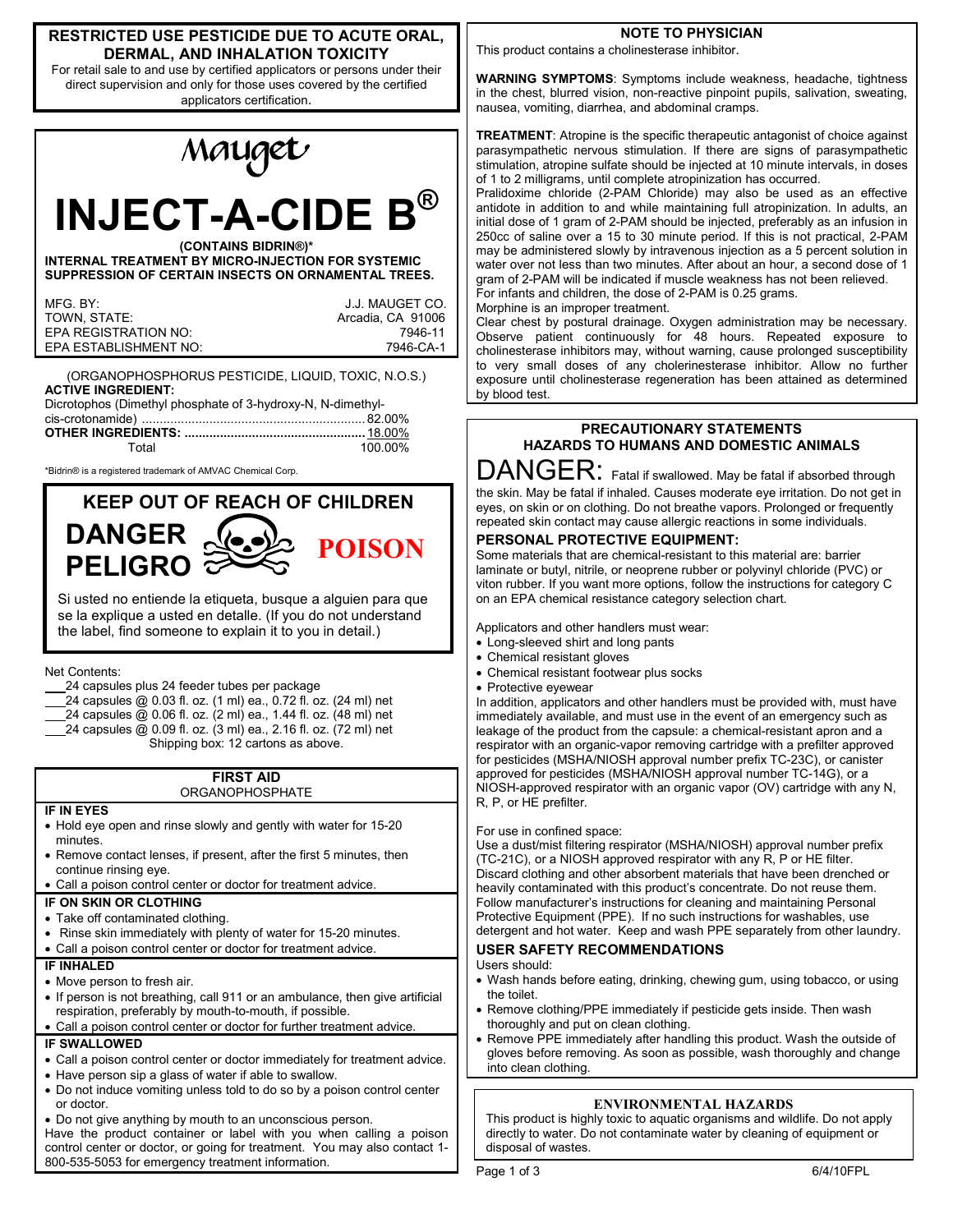### **RESTRICTED USE PESTICIDE DUE TO ACUTE ORAL, DERMAL, AND INHALATION TOXICITY**

For retail sale to and use by certified applicators or persons under their direct supervision and only for those uses covered by the certified applicators certification.



(ORGANOPHOSPHORUS PESTICIDE, LIQUID, TOXIC, N.O.S.) **ACTIVE INGREDIENT:** Dicrotophos (Dimethyl phosphate of 3-hydroxy-N, N-dimethyl-

| Total | 100.00% |  |
|-------|---------|--|
|       |         |  |

\*Bidrin® is a registered trademark of AMVAC Chemical Corp.



Si usted no entiende la etiqueta, busque a alguien para que se la explique a usted en detalle. (If you do not understand the label, find someone to explain it to you in detail.)

Net Contents:

- 24 capsules plus 24 feeder tubes per package
- 24 capsules @ 0.03 fl. oz. (1 ml) ea., 0.72 fl. oz. (24 ml) net
- 24 capsules @ 0.06 fl. oz. (2 ml) ea., 1.44 fl. oz. (48 ml) net
- 24 capsules @ 0.09 fl. oz. (3 ml) ea., 2.16 fl. oz. (72 ml) net

Shipping box: 12 cartons as above.

**FIRST AID ORGANOPHOSPHATE** 

- **IF IN EYES**
- Hold eye open and rinse slowly and gently with water for 15-20 minutes.
- Remove contact lenses, if present, after the first 5 minutes, then continue rinsing eye.
- Call a poison control center or doctor for treatment advice.

## **IF ON SKIN OR CLOTHING**

- Take off contaminated clothing.
- Rinse skin immediately with plenty of water for 15-20 minutes.
- Call a poison control center or doctor for treatment advice.

## **IF INHALED**

- Move person to fresh air.
- If person is not breathing, call 911 or an ambulance, then give artificial respiration, preferably by mouth-to-mouth, if possible.
- Call a poison control center or doctor for further treatment advice.

# **IF SWALLOWED**

- Call a poison control center or doctor immediately for treatment advice.
- Have person sip a glass of water if able to swallow.
- Do not induce vomiting unless told to do so by a poison control center or doctor.
- Do not give anything by mouth to an unconscious person.

Have the product container or label with you when calling a poison control center or doctor, or going for treatment. You may also contact 1- 800-535-5053 for emergency treatment information.

# **NOTE TO PHYSICIAN**

This product contains a cholinesterase inhibitor.

**WARNING SYMPTOMS**: Symptoms include weakness, headache, tightness in the chest, blurred vision, non-reactive pinpoint pupils, salivation, sweating, nausea, vomiting, diarrhea, and abdominal cramps.

**TREATMENT**: Atropine is the specific therapeutic antagonist of choice against parasympathetic nervous stimulation. If there are signs of parasympathetic stimulation, atropine sulfate should be injected at 10 minute intervals, in doses of 1 to 2 milligrams, until complete atropinization has occurred.

Pralidoxime chloride (2-PAM Chloride) may also be used as an effective antidote in addition to and while maintaining full atropinization. In adults, an initial dose of 1 gram of 2-PAM should be injected, preferably as an infusion in 250cc of saline over a 15 to 30 minute period. If this is not practical, 2-PAM may be administered slowly by intravenous injection as a 5 percent solution in water over not less than two minutes. After about an hour, a second dose of 1 gram of 2-PAM will be indicated if muscle weakness has not been relieved. For infants and children, the dose of 2-PAM is 0.25 grams.

Morphine is an improper treatment.

Clear chest by postural drainage. Oxygen administration may be necessary. Observe patient continuously for 48 hours. Repeated exposure to cholinesterase inhibitors may, without warning, cause prolonged susceptibility to very small doses of any cholerinesterase inhibitor. Allow no further exposure until cholinesterase regeneration has been attained as determined by blood test.

# **PRECAUTIONARY STATEMENTS HAZARDS TO HUMANS AND DOMESTIC ANIMALS**

DANGER: Fatal if swallowed. May be fatal if absorbed through the skin. May be fatal if inhaled. Causes moderate eye irritation. Do not get in eyes, on skin or on clothing. Do not breathe vapors. Prolonged or frequently repeated skin contact may cause allergic reactions in some individuals.

# **PERSONAL PROTECTIVE EQUIPMENT:**

Some materials that are chemical-resistant to this material are: barrier laminate or butyl, nitrile, or neoprene rubber or polyvinyl chloride (PVC) or viton rubber. If you want more options, follow the instructions for category C on an EPA chemical resistance category selection chart.

Applicators and other handlers must wear:

- Long-sleeved shirt and long pants
- Chemical resistant gloves
- Chemical resistant footwear plus socks
- Protective eyewear

In addition, applicators and other handlers must be provided with, must have immediately available, and must use in the event of an emergency such as leakage of the product from the capsule: a chemical-resistant apron and a respirator with an organic-vapor removing cartridge with a prefilter approved for pesticides (MSHA/NIOSH approval number prefix TC-23C), or canister approved for pesticides (MSHA/NIOSH approval number TC-14G), or a NIOSH-approved respirator with an organic vapor (OV) cartridge with any N, R, P, or HE prefilter.

# For use in confined space:

Use a dust/mist filtering respirator (MSHA/NIOSH) approval number prefix (TC-21C), or a NIOSH approved respirator with any R, P or HE filter. Discard clothing and other absorbent materials that have been drenched or heavily contaminated with this product's concentrate. Do not reuse them. Follow manufacturer's instructions for cleaning and maintaining Personal Protective Equipment (PPE). If no such instructions for washables, use detergent and hot water. Keep and wash PPE separately from other laundry.

# **USER SAFETY RECOMMENDATIONS**

- Users should:
- Wash hands before eating, drinking, chewing gum, using tobacco, or using the toilet.
- Remove clothing/PPE immediately if pesticide gets inside. Then wash thoroughly and put on clean clothing.
- Remove PPE immediately after handling this product. Wash the outside of gloves before removing. As soon as possible, wash thoroughly and change into clean clothing.

# **ENVIRONMENTAL HAZARDS**

This product is highly toxic to aquatic organisms and wildlife. Do not apply directly to water. Do not contaminate water by cleaning of equipment or disposal of wastes.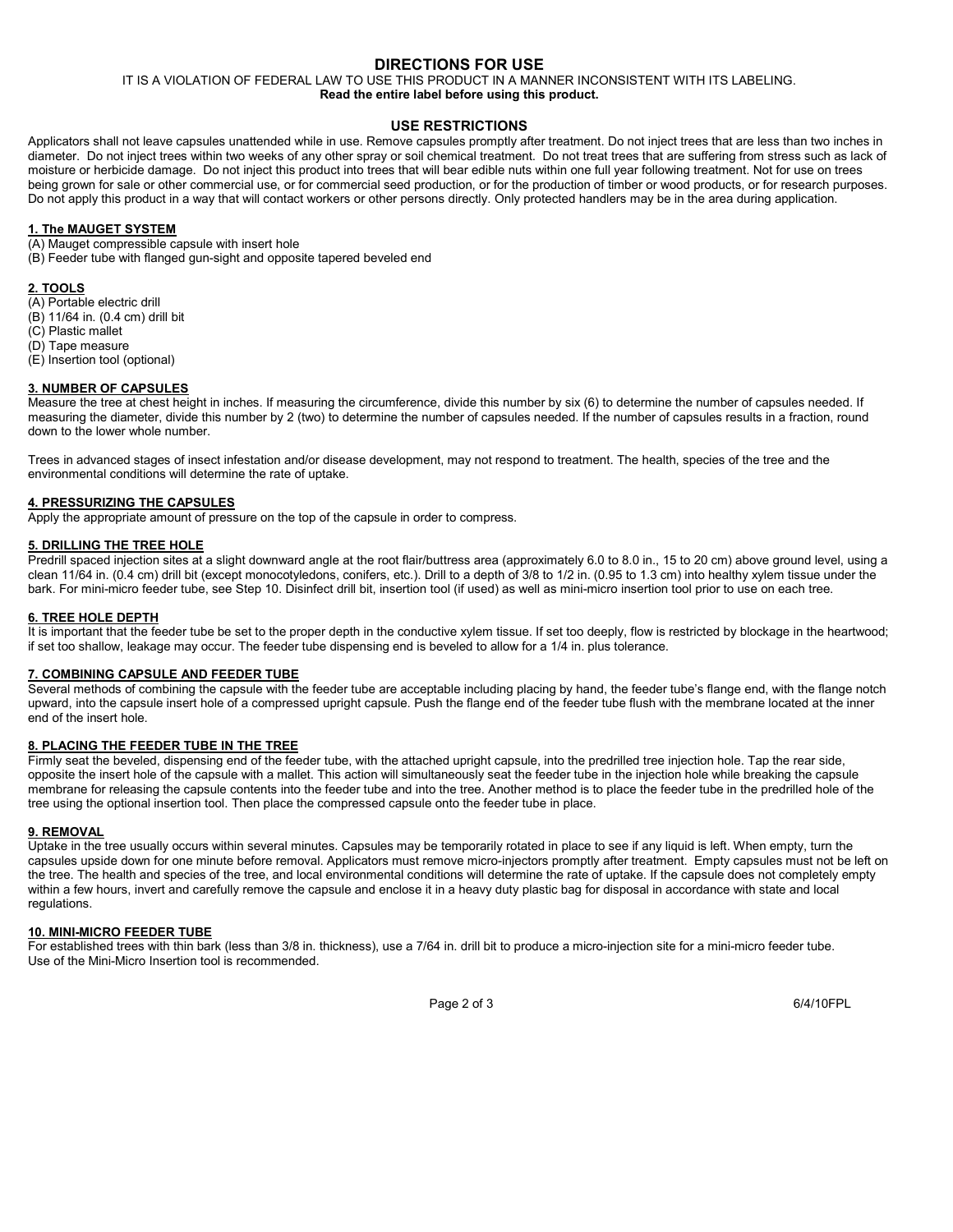## **DIRECTIONS FOR USE**

IT IS A VIOLATION OF FEDERAL LAW TO USE THIS PRODUCT IN A MANNER INCONSISTENT WITH ITS LABELING.

# **Read the entire label before using this product.**

#### **USE RESTRICTIONS**

Applicators shall not leave capsules unattended while in use. Remove capsules promptly after treatment. Do not inject trees that are less than two inches in diameter. Do not inject trees within two weeks of any other spray or soil chemical treatment. Do not treat trees that are suffering from stress such as lack of moisture or herbicide damage. Do not inject this product into trees that will bear edible nuts within one full year following treatment. Not for use on trees being grown for sale or other commercial use, or for commercial seed production, or for the production of timber or wood products, or for research purposes. Do not apply this product in a way that will contact workers or other persons directly. Only protected handlers may be in the area during application.

#### **1. The MAUGET SYSTEM**

(A) Mauget compressible capsule with insert hole

(B) Feeder tube with flanged gun-sight and opposite tapered beveled end

#### **2. TOOLS**

(A) Portable electric drill

- (B) 11/64 in. (0.4 cm) drill bit
- (C) Plastic mallet (D) Tape measure
- (E) Insertion tool (optional)

#### **3. NUMBER OF CAPSULES**

Measure the tree at chest height in inches. If measuring the circumference, divide this number by six (6) to determine the number of capsules needed. If measuring the diameter, divide this number by 2 (two) to determine the number of capsules needed. If the number of capsules results in a fraction, round down to the lower whole number.

Trees in advanced stages of insect infestation and/or disease development, may not respond to treatment. The health, species of the tree and the environmental conditions will determine the rate of uptake.

#### **4. PRESSURIZING THE CAPSULES**

Apply the appropriate amount of pressure on the top of the capsule in order to compress.

#### **5. DRILLING THE TREE HOLE**

Predrill spaced injection sites at a slight downward angle at the root flair/buttress area (approximately 6.0 to 8.0 in., 15 to 20 cm) above ground level, using a clean 11/64 in. (0.4 cm) drill bit (except monocotyledons, conifers, etc.). Drill to a depth of 3/8 to 1/2 in. (0.95 to 1.3 cm) into healthy xylem tissue under the bark. For mini-micro feeder tube, see Step 10. Disinfect drill bit, insertion tool (if used) as well as mini-micro insertion tool prior to use on each tree.

#### **6. TREE HOLE DEPTH**

It is important that the feeder tube be set to the proper depth in the conductive xylem tissue. If set too deeply, flow is restricted by blockage in the heartwood; if set too shallow, leakage may occur. The feeder tube dispensing end is beveled to allow for a 1/4 in. plus tolerance.

### **7. COMBINING CAPSULE AND FEEDER TUBE**

Several methods of combining the capsule with the feeder tube are acceptable including placing by hand, the feeder tube's flange end, with the flange notch upward, into the capsule insert hole of a compressed upright capsule. Push the flange end of the feeder tube flush with the membrane located at the inner end of the insert hole.

### **8. PLACING THE FEEDER TUBE IN THE TREE**

Firmly seat the beveled, dispensing end of the feeder tube, with the attached upright capsule, into the predrilled tree injection hole. Tap the rear side, opposite the insert hole of the capsule with a mallet. This action will simultaneously seat the feeder tube in the injection hole while breaking the capsule membrane for releasing the capsule contents into the feeder tube and into the tree. Another method is to place the feeder tube in the predrilled hole of the tree using the optional insertion tool. Then place the compressed capsule onto the feeder tube in place.

#### **9. REMOVAL**

Uptake in the tree usually occurs within several minutes. Capsules may be temporarily rotated in place to see if any liquid is left. When empty, turn the capsules upside down for one minute before removal. Applicators must remove micro-injectors promptly after treatment. Empty capsules must not be left on the tree. The health and species of the tree, and local environmental conditions will determine the rate of uptake. If the capsule does not completely empty within a few hours, invert and carefully remove the capsule and enclose it in a heavy duty plastic bag for disposal in accordance with state and local regulations.

#### **10. MINI-MICRO FEEDER TUBE**

For established trees with thin bark (less than 3/8 in. thickness), use a 7/64 in. drill bit to produce a micro-injection site for a mini-micro feeder tube. Use of the Mini-Micro Insertion tool is recommended.